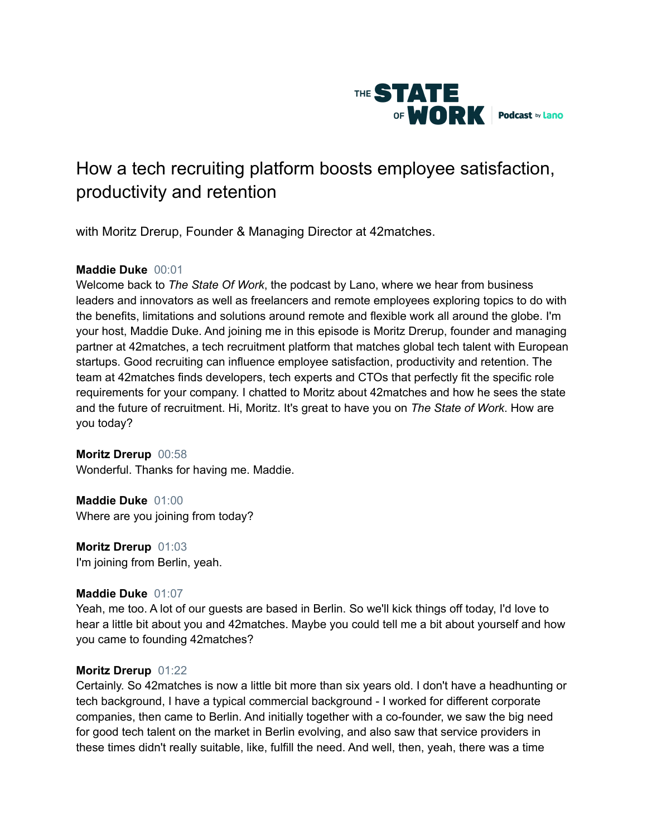

# How a tech recruiting platform boosts employee satisfaction, productivity and retention

with Moritz Drerup, Founder & Managing Director at 42matches.

# **Maddie Duke** 00:01

Welcome back to *The State Of Work*, the podcast by Lano, where we hear from business leaders and innovators as well as freelancers and remote employees exploring topics to do with the benefits, limitations and solutions around remote and flexible work all around the globe. I'm your host, Maddie Duke. And joining me in this episode is Moritz Drerup, founder and managing partner at 42matches, a tech recruitment platform that matches global tech talent with European startups. Good recruiting can influence employee satisfaction, productivity and retention. The team at 42matches finds developers, tech experts and CTOs that perfectly fit the specific role requirements for your company. I chatted to Moritz about 42matches and how he sees the state and the future of recruitment. Hi, Moritz. It's great to have you on *The State of Work*. How are you today?

**Moritz Drerup** 00:58 Wonderful. Thanks for having me. Maddie.

**Maddie Duke** 01:00 Where are you joining from today?

**Moritz Drerup** 01:03 I'm joining from Berlin, yeah.

## **Maddie Duke** 01:07

Yeah, me too. A lot of our guests are based in Berlin. So we'll kick things off today, I'd love to hear a little bit about you and 42matches. Maybe you could tell me a bit about yourself and how you came to founding 42matches?

## **Moritz Drerup** 01:22

Certainly. So 42matches is now a little bit more than six years old. I don't have a headhunting or tech background, I have a typical commercial background - I worked for different corporate companies, then came to Berlin. And initially together with a co-founder, we saw the big need for good tech talent on the market in Berlin evolving, and also saw that service providers in these times didn't really suitable, like, fulfill the need. And well, then, yeah, there was a time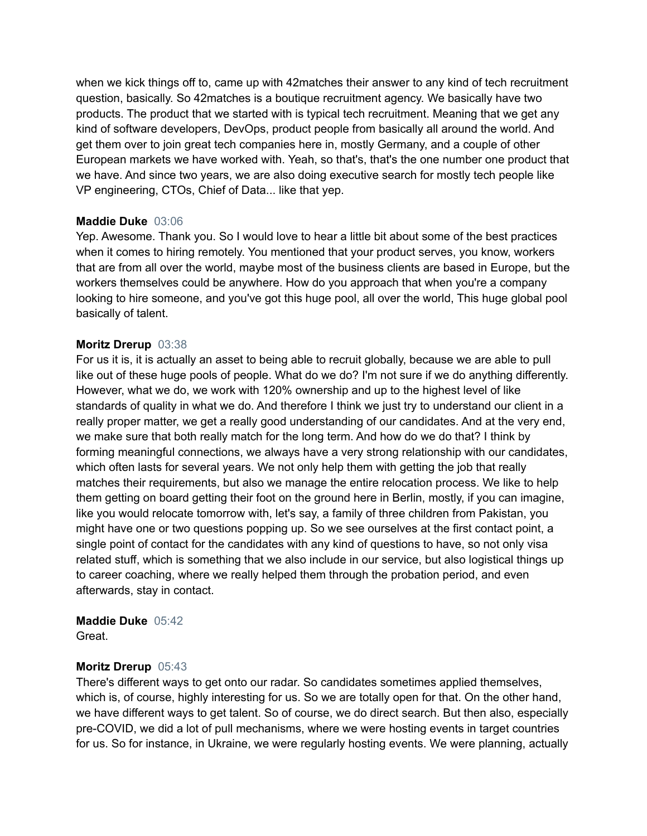when we kick things off to, came up with 42matches their answer to any kind of tech recruitment question, basically. So 42matches is a boutique recruitment agency. We basically have two products. The product that we started with is typical tech recruitment. Meaning that we get any kind of software developers, DevOps, product people from basically all around the world. And get them over to join great tech companies here in, mostly Germany, and a couple of other European markets we have worked with. Yeah, so that's, that's the one number one product that we have. And since two years, we are also doing executive search for mostly tech people like VP engineering, CTOs, Chief of Data... like that yep.

## **Maddie Duke** 03:06

Yep. Awesome. Thank you. So I would love to hear a little bit about some of the best practices when it comes to hiring remotely. You mentioned that your product serves, you know, workers that are from all over the world, maybe most of the business clients are based in Europe, but the workers themselves could be anywhere. How do you approach that when you're a company looking to hire someone, and you've got this huge pool, all over the world, This huge global pool basically of talent.

## **Moritz Drerup** 03:38

For us it is, it is actually an asset to being able to recruit globally, because we are able to pull like out of these huge pools of people. What do we do? I'm not sure if we do anything differently. However, what we do, we work with 120% ownership and up to the highest level of like standards of quality in what we do. And therefore I think we just try to understand our client in a really proper matter, we get a really good understanding of our candidates. And at the very end, we make sure that both really match for the long term. And how do we do that? I think by forming meaningful connections, we always have a very strong relationship with our candidates, which often lasts for several years. We not only help them with getting the job that really matches their requirements, but also we manage the entire relocation process. We like to help them getting on board getting their foot on the ground here in Berlin, mostly, if you can imagine, like you would relocate tomorrow with, let's say, a family of three children from Pakistan, you might have one or two questions popping up. So we see ourselves at the first contact point, a single point of contact for the candidates with any kind of questions to have, so not only visa related stuff, which is something that we also include in our service, but also logistical things up to career coaching, where we really helped them through the probation period, and even afterwards, stay in contact.

# **Maddie Duke** 05:42

Great.

## **Moritz Drerup** 05:43

There's different ways to get onto our radar. So candidates sometimes applied themselves, which is, of course, highly interesting for us. So we are totally open for that. On the other hand, we have different ways to get talent. So of course, we do direct search. But then also, especially pre-COVID, we did a lot of pull mechanisms, where we were hosting events in target countries for us. So for instance, in Ukraine, we were regularly hosting events. We were planning, actually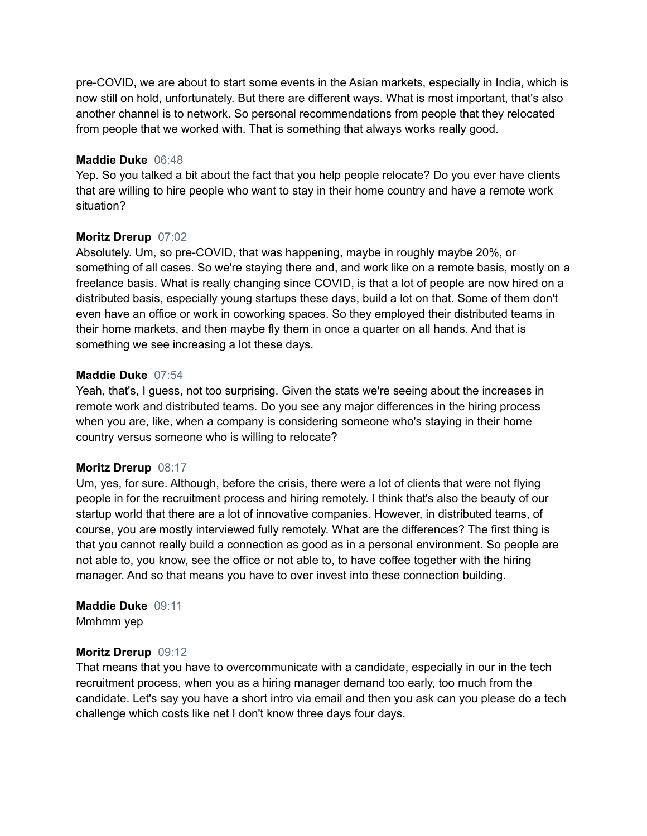pre-COVID, we are about to start some events in the Asian markets, especially in India, which is now still on hold, unfortunately. But there are different ways. What is most important, that's also another channel is to network. So personal recommendations from people that they relocated from people that we worked with. That is something that always works really good.

#### **Maddie Duke** 06:48

Yep. So you talked a bit about the fact that you help people relocate? Do you ever have clients that are willing to hire people who want to stay in their home country and have a remote work situation?

## **Moritz Drerup** 07:02

Absolutely. Um, so pre-COVID, that was happening, maybe in roughly maybe 20%, or something of all cases. So we're staying there and, and work like on a remote basis, mostly on a freelance basis. What is really changing since COVID, is that a lot of people are now hired on a distributed basis, especially young startups these days, build a lot on that. Some of them don't even have an office or work in coworking spaces. So they employed their distributed teams in their home markets, and then maybe fly them in once a quarter on all hands. And that is something we see increasing a lot these days.

## **Maddie Duke** 07:54

Yeah, that's, I guess, not too surprising. Given the stats we're seeing about the increases in remote work and distributed teams. Do you see any major differences in the hiring process when you are, like, when a company is considering someone who's staying in their home country versus someone who is willing to relocate?

## **Moritz Drerup** 08:17

Um, yes, for sure. Although, before the crisis, there were a lot of clients that were not flying people in for the recruitment process and hiring remotely. I think that's also the beauty of our startup world that there are a lot of innovative companies. However, in distributed teams, of course, you are mostly interviewed fully remotely. What are the differences? The first thing is that you cannot really build a connection as good as in a personal environment. So people are not able to, you know, see the office or not able to, to have coffee together with the hiring manager. And so that means you have to over invest into these connection building.

#### **Maddie Duke** 09:11 Mmhmm yep

## **Moritz Drerup** 09:12

That means that you have to overcommunicate with a candidate, especially in our in the tech recruitment process, when you as a hiring manager demand too early, too much from the candidate. Let's say you have a short intro via email and then you ask can you please do a tech challenge which costs like net I don't know three days four days.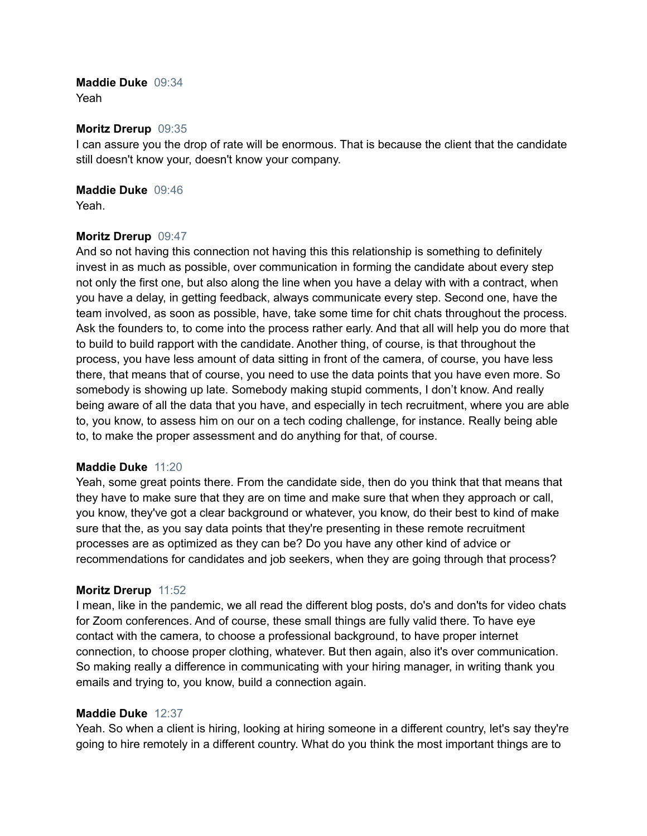# **Maddie Duke** 09:34

Yeah

# **Moritz Drerup** 09:35

I can assure you the drop of rate will be enormous. That is because the client that the candidate still doesn't know your, doesn't know your company.

**Maddie Duke** 09:46 Yeah.

## **Moritz Drerup** 09:47

And so not having this connection not having this this relationship is something to definitely invest in as much as possible, over communication in forming the candidate about every step not only the first one, but also along the line when you have a delay with with a contract, when you have a delay, in getting feedback, always communicate every step. Second one, have the team involved, as soon as possible, have, take some time for chit chats throughout the process. Ask the founders to, to come into the process rather early. And that all will help you do more that to build to build rapport with the candidate. Another thing, of course, is that throughout the process, you have less amount of data sitting in front of the camera, of course, you have less there, that means that of course, you need to use the data points that you have even more. So somebody is showing up late. Somebody making stupid comments, I don't know. And really being aware of all the data that you have, and especially in tech recruitment, where you are able to, you know, to assess him on our on a tech coding challenge, for instance. Really being able to, to make the proper assessment and do anything for that, of course.

## **Maddie Duke** 11:20

Yeah, some great points there. From the candidate side, then do you think that that means that they have to make sure that they are on time and make sure that when they approach or call, you know, they've got a clear background or whatever, you know, do their best to kind of make sure that the, as you say data points that they're presenting in these remote recruitment processes are as optimized as they can be? Do you have any other kind of advice or recommendations for candidates and job seekers, when they are going through that process?

## **Moritz Drerup** 11:52

I mean, like in the pandemic, we all read the different blog posts, do's and don'ts for video chats for Zoom conferences. And of course, these small things are fully valid there. To have eye contact with the camera, to choose a professional background, to have proper internet connection, to choose proper clothing, whatever. But then again, also it's over communication. So making really a difference in communicating with your hiring manager, in writing thank you emails and trying to, you know, build a connection again.

## **Maddie Duke** 12:37

Yeah. So when a client is hiring, looking at hiring someone in a different country, let's say they're going to hire remotely in a different country. What do you think the most important things are to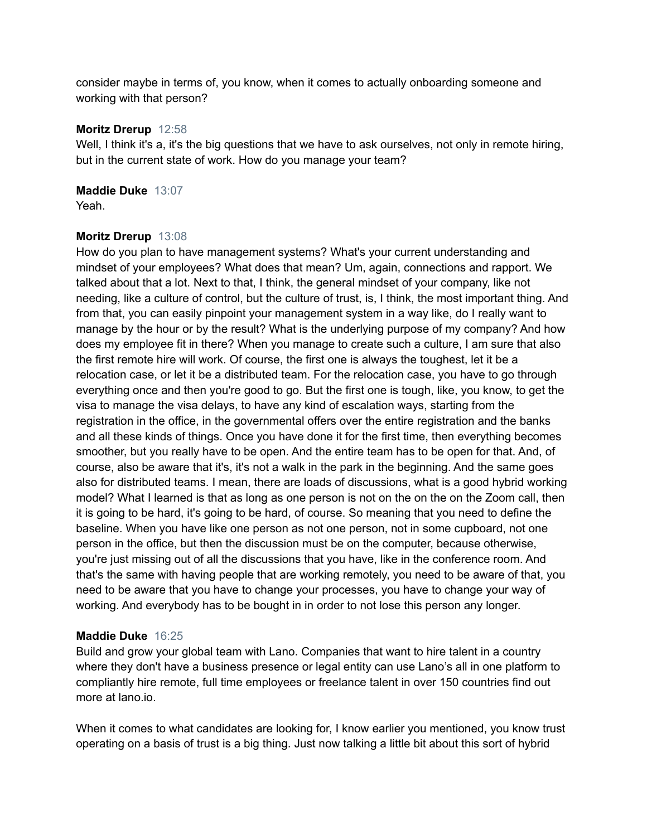consider maybe in terms of, you know, when it comes to actually onboarding someone and working with that person?

#### **Moritz Drerup** 12:58

Well, I think it's a, it's the big questions that we have to ask ourselves, not only in remote hiring, but in the current state of work. How do you manage your team?

**Maddie Duke** 13:07 Yeah.

## **Moritz Drerup** 13:08

How do you plan to have management systems? What's your current understanding and mindset of your employees? What does that mean? Um, again, connections and rapport. We talked about that a lot. Next to that, I think, the general mindset of your company, like not needing, like a culture of control, but the culture of trust, is, I think, the most important thing. And from that, you can easily pinpoint your management system in a way like, do I really want to manage by the hour or by the result? What is the underlying purpose of my company? And how does my employee fit in there? When you manage to create such a culture, I am sure that also the first remote hire will work. Of course, the first one is always the toughest, let it be a relocation case, or let it be a distributed team. For the relocation case, you have to go through everything once and then you're good to go. But the first one is tough, like, you know, to get the visa to manage the visa delays, to have any kind of escalation ways, starting from the registration in the office, in the governmental offers over the entire registration and the banks and all these kinds of things. Once you have done it for the first time, then everything becomes smoother, but you really have to be open. And the entire team has to be open for that. And, of course, also be aware that it's, it's not a walk in the park in the beginning. And the same goes also for distributed teams. I mean, there are loads of discussions, what is a good hybrid working model? What I learned is that as long as one person is not on the on the on the Zoom call, then it is going to be hard, it's going to be hard, of course. So meaning that you need to define the baseline. When you have like one person as not one person, not in some cupboard, not one person in the office, but then the discussion must be on the computer, because otherwise, you're just missing out of all the discussions that you have, like in the conference room. And that's the same with having people that are working remotely, you need to be aware of that, you need to be aware that you have to change your processes, you have to change your way of working. And everybody has to be bought in in order to not lose this person any longer.

#### **Maddie Duke** 16:25

Build and grow your global team with Lano. Companies that want to hire talent in a country where they don't have a business presence or legal entity can use Lano's all in one platform to compliantly hire remote, full time employees or freelance talent in over 150 countries find out more at lano.io.

When it comes to what candidates are looking for, I know earlier you mentioned, you know trust operating on a basis of trust is a big thing. Just now talking a little bit about this sort of hybrid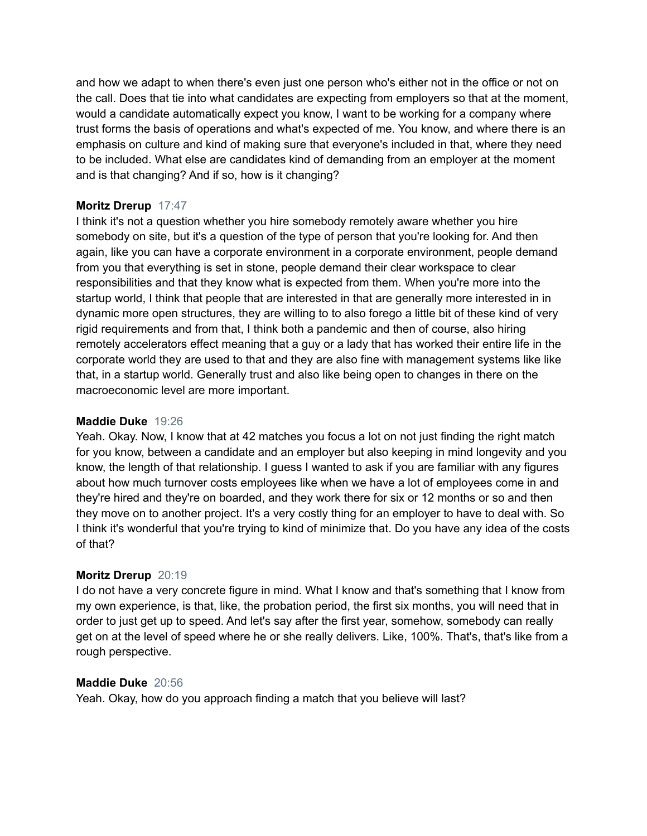and how we adapt to when there's even just one person who's either not in the office or not on the call. Does that tie into what candidates are expecting from employers so that at the moment, would a candidate automatically expect you know, I want to be working for a company where trust forms the basis of operations and what's expected of me. You know, and where there is an emphasis on culture and kind of making sure that everyone's included in that, where they need to be included. What else are candidates kind of demanding from an employer at the moment and is that changing? And if so, how is it changing?

# **Moritz Drerup** 17:47

I think it's not a question whether you hire somebody remotely aware whether you hire somebody on site, but it's a question of the type of person that you're looking for. And then again, like you can have a corporate environment in a corporate environment, people demand from you that everything is set in stone, people demand their clear workspace to clear responsibilities and that they know what is expected from them. When you're more into the startup world, I think that people that are interested in that are generally more interested in in dynamic more open structures, they are willing to to also forego a little bit of these kind of very rigid requirements and from that, I think both a pandemic and then of course, also hiring remotely accelerators effect meaning that a guy or a lady that has worked their entire life in the corporate world they are used to that and they are also fine with management systems like like that, in a startup world. Generally trust and also like being open to changes in there on the macroeconomic level are more important.

## **Maddie Duke** 19:26

Yeah. Okay. Now, I know that at 42 matches you focus a lot on not just finding the right match for you know, between a candidate and an employer but also keeping in mind longevity and you know, the length of that relationship. I guess I wanted to ask if you are familiar with any figures about how much turnover costs employees like when we have a lot of employees come in and they're hired and they're on boarded, and they work there for six or 12 months or so and then they move on to another project. It's a very costly thing for an employer to have to deal with. So I think it's wonderful that you're trying to kind of minimize that. Do you have any idea of the costs of that?

## **Moritz Drerup** 20:19

I do not have a very concrete figure in mind. What I know and that's something that I know from my own experience, is that, like, the probation period, the first six months, you will need that in order to just get up to speed. And let's say after the first year, somehow, somebody can really get on at the level of speed where he or she really delivers. Like, 100%. That's, that's like from a rough perspective.

#### **Maddie Duke** 20:56

Yeah. Okay, how do you approach finding a match that you believe will last?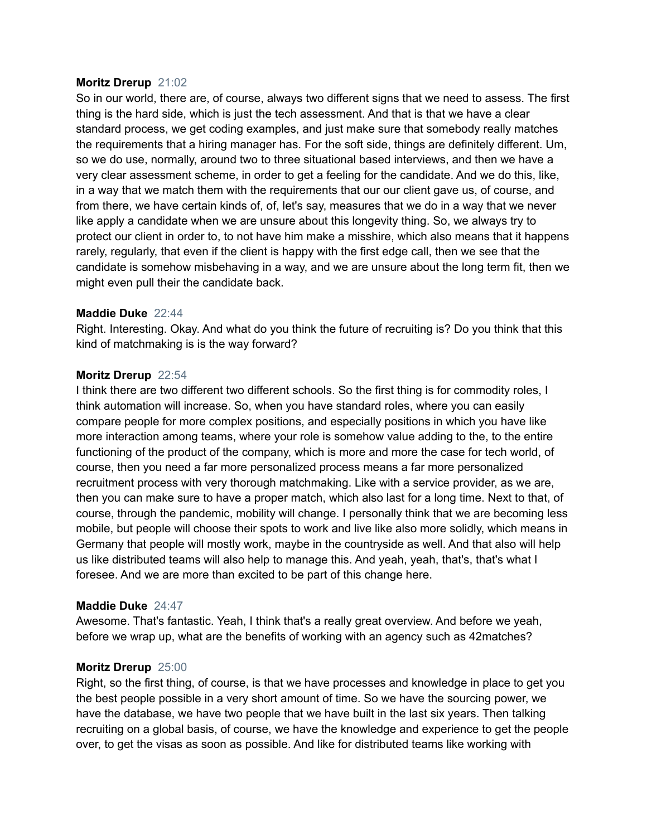#### **Moritz Drerup** 21:02

So in our world, there are, of course, always two different signs that we need to assess. The first thing is the hard side, which is just the tech assessment. And that is that we have a clear standard process, we get coding examples, and just make sure that somebody really matches the requirements that a hiring manager has. For the soft side, things are definitely different. Um, so we do use, normally, around two to three situational based interviews, and then we have a very clear assessment scheme, in order to get a feeling for the candidate. And we do this, like, in a way that we match them with the requirements that our our client gave us, of course, and from there, we have certain kinds of, of, let's say, measures that we do in a way that we never like apply a candidate when we are unsure about this longevity thing. So, we always try to protect our client in order to, to not have him make a misshire, which also means that it happens rarely, regularly, that even if the client is happy with the first edge call, then we see that the candidate is somehow misbehaving in a way, and we are unsure about the long term fit, then we might even pull their the candidate back.

#### **Maddie Duke** 22:44

Right. Interesting. Okay. And what do you think the future of recruiting is? Do you think that this kind of matchmaking is is the way forward?

#### **Moritz Drerup** 22:54

I think there are two different two different schools. So the first thing is for commodity roles, I think automation will increase. So, when you have standard roles, where you can easily compare people for more complex positions, and especially positions in which you have like more interaction among teams, where your role is somehow value adding to the, to the entire functioning of the product of the company, which is more and more the case for tech world, of course, then you need a far more personalized process means a far more personalized recruitment process with very thorough matchmaking. Like with a service provider, as we are, then you can make sure to have a proper match, which also last for a long time. Next to that, of course, through the pandemic, mobility will change. I personally think that we are becoming less mobile, but people will choose their spots to work and live like also more solidly, which means in Germany that people will mostly work, maybe in the countryside as well. And that also will help us like distributed teams will also help to manage this. And yeah, yeah, that's, that's what I foresee. And we are more than excited to be part of this change here.

#### **Maddie Duke** 24:47

Awesome. That's fantastic. Yeah, I think that's a really great overview. And before we yeah, before we wrap up, what are the benefits of working with an agency such as 42matches?

#### **Moritz Drerup** 25:00

Right, so the first thing, of course, is that we have processes and knowledge in place to get you the best people possible in a very short amount of time. So we have the sourcing power, we have the database, we have two people that we have built in the last six years. Then talking recruiting on a global basis, of course, we have the knowledge and experience to get the people over, to get the visas as soon as possible. And like for distributed teams like working with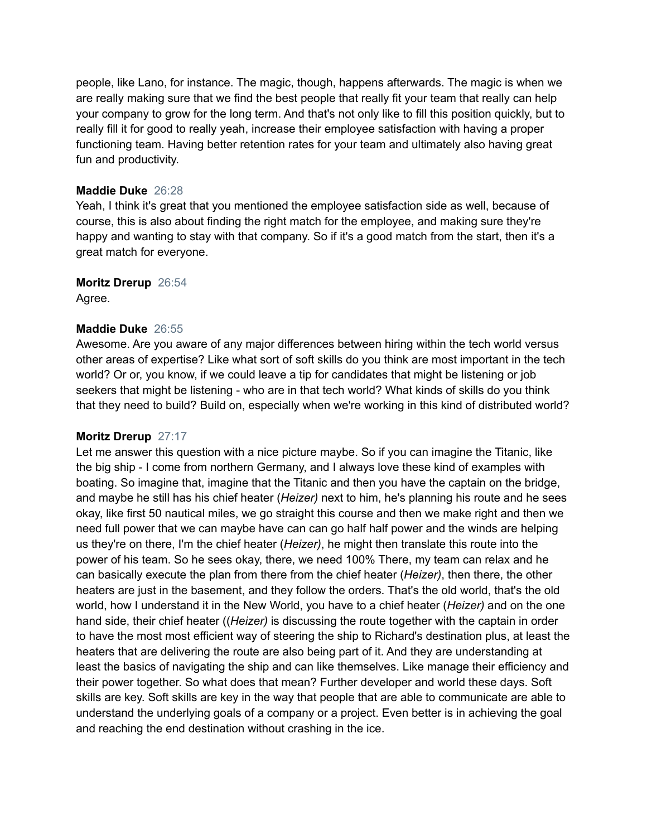people, like Lano, for instance. The magic, though, happens afterwards. The magic is when we are really making sure that we find the best people that really fit your team that really can help your company to grow for the long term. And that's not only like to fill this position quickly, but to really fill it for good to really yeah, increase their employee satisfaction with having a proper functioning team. Having better retention rates for your team and ultimately also having great fun and productivity.

# **Maddie Duke** 26:28

Yeah, I think it's great that you mentioned the employee satisfaction side as well, because of course, this is also about finding the right match for the employee, and making sure they're happy and wanting to stay with that company. So if it's a good match from the start, then it's a great match for everyone.

## **Moritz Drerup** 26:54

Agree.

# **Maddie Duke** 26:55

Awesome. Are you aware of any major differences between hiring within the tech world versus other areas of expertise? Like what sort of soft skills do you think are most important in the tech world? Or or, you know, if we could leave a tip for candidates that might be listening or job seekers that might be listening - who are in that tech world? What kinds of skills do you think that they need to build? Build on, especially when we're working in this kind of distributed world?

## **Moritz Drerup** 27:17

Let me answer this question with a nice picture maybe. So if you can imagine the Titanic, like the big ship - I come from northern Germany, and I always love these kind of examples with boating. So imagine that, imagine that the Titanic and then you have the captain on the bridge, and maybe he still has his chief heater (*Heizer)* next to him, he's planning his route and he sees okay, like first 50 nautical miles, we go straight this course and then we make right and then we need full power that we can maybe have can can go half half power and the winds are helping us they're on there, I'm the chief heater (*Heizer)*, he might then translate this route into the power of his team. So he sees okay, there, we need 100% There, my team can relax and he can basically execute the plan from there from the chief heater (*Heizer)*, then there, the other heaters are just in the basement, and they follow the orders. That's the old world, that's the old world, how I understand it in the New World, you have to a chief heater (*Heizer)* and on the one hand side, their chief heater ((*Heizer)* is discussing the route together with the captain in order to have the most most efficient way of steering the ship to Richard's destination plus, at least the heaters that are delivering the route are also being part of it. And they are understanding at least the basics of navigating the ship and can like themselves. Like manage their efficiency and their power together. So what does that mean? Further developer and world these days. Soft skills are key. Soft skills are key in the way that people that are able to communicate are able to understand the underlying goals of a company or a project. Even better is in achieving the goal and reaching the end destination without crashing in the ice.